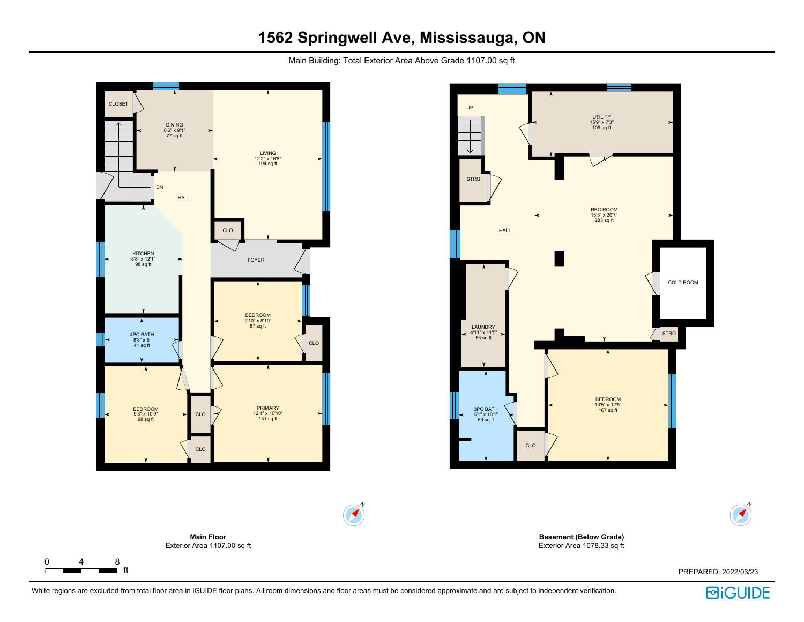# **1562 Springwell Ave, Mississauga, ON**

Main Building: Total Exterior Area Above Grade 1107.00 sq ft



 $\Gamma$ 



**Basement (Below Grade)** Exterior Area 1078.33 sq ft

PREPARED: 2022/03/23



N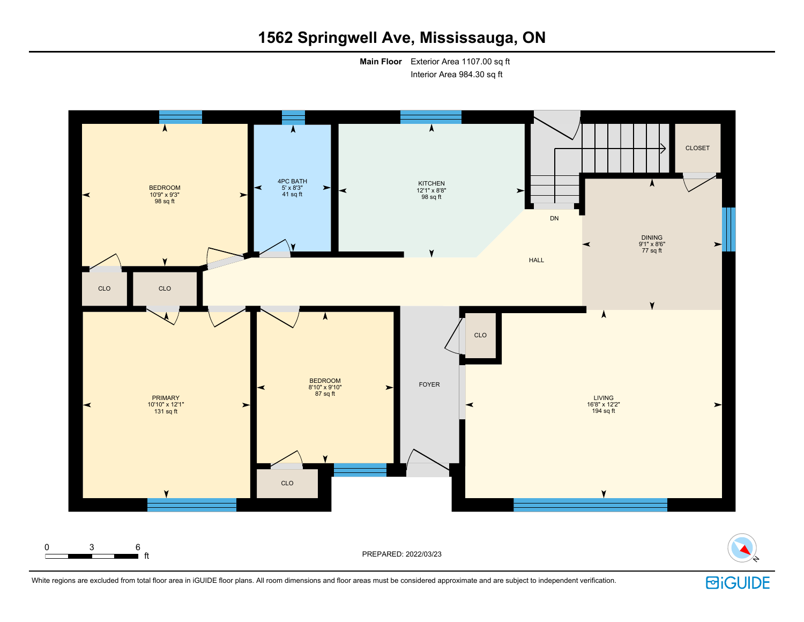# **1562 Springwell Ave, Mississauga, ON**

**Main Floor** Exterior Area 1107.00 sq ft Interior Area 984.30 sq ft



White regions are excluded from total floor area in iGUIDE floor plans. All room dimensions and floor areas must be considered approximate and are subject to independent verification.

**BiGUIDE**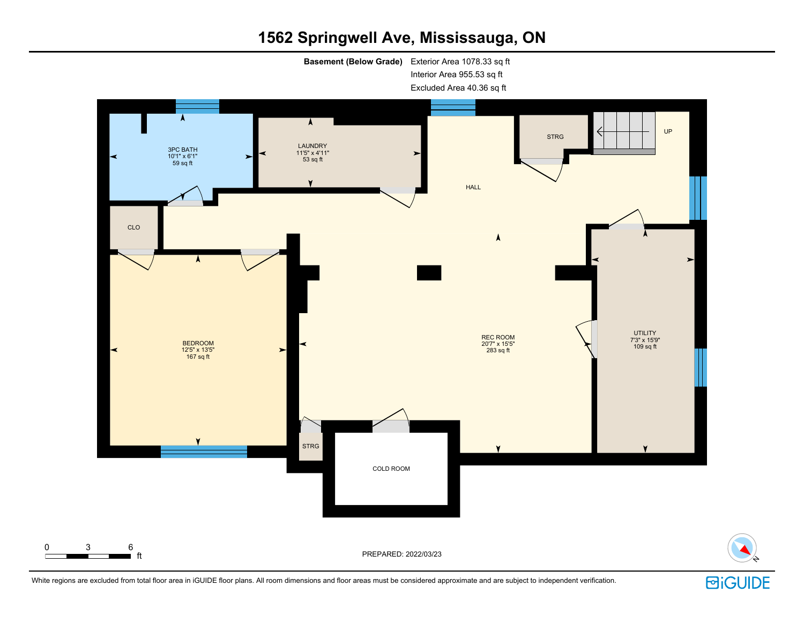# **1562 Springwell Ave, Mississauga, ON**

**Basement (Below Grade)** Exterior Area 1078.33 sq ft Interior Area 955.53 sq ft

Excluded Area 40.36 sq ft



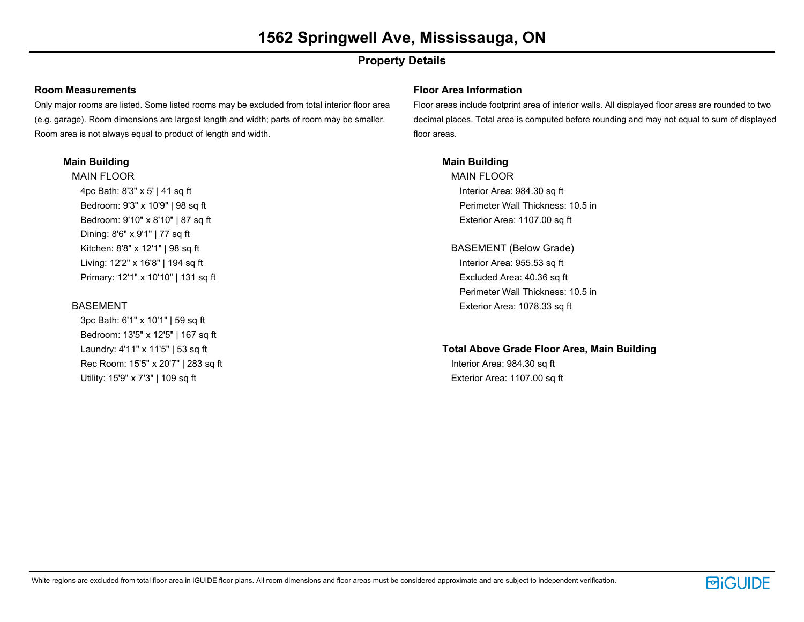## **Property Details**

### **Room Measurements**

Only major rooms are listed. Some listed rooms may be excluded from total interior floor area (e.g. garage). Room dimensions are largest length and width; parts of room may be smaller. Room area is not always equal to product of length and width.

## **Main Building**

MAIN FLOOR 4pc Bath: 8'3" x 5' | 41 sq ft Bedroom: 9'3" x 10'9" | 98 sq ft Bedroom: 9'10" x 8'10" | 87 sq ft Dining: 8'6" x 9'1" | 77 sq ft Kitchen: 8'8" x 12'1" | 98 sq ft Living: 12'2" x 16'8" | 194 sq ft Primary: 12'1" x 10'10" | 131 sq ft

## **BASEMENT**

3pc Bath: 6'1" x 10'1" | 59 sq ft Bedroom: 13'5" x 12'5" | 167 sq ft Laundry: 4'11" x 11'5" | 53 sq ft Rec Room: 15'5" x 20'7" | 283 sq ft Utility: 15'9" x 7'3" | 109 sq ft

### **Floor Area Information**

Floor areas include footprint area of interior walls. All displayed floor areas are rounded to two decimal places. Total area is computed before rounding and may not equal to sum of displayed floor areas.

## **Main Building**

MAIN FLOOR Interior Area: 984.30 sq ft Perimeter Wall Thickness: 10.5 in Exterior Area: 1107.00 sq ft

BASEMENT (Below Grade) Interior Area: 955.53 sq ft Excluded Area: 40.36 sq ft Perimeter Wall Thickness: 10.5 in Exterior Area: 1078.33 sq ft

## **Total Above Grade Floor Area, Main Building**

Interior Area: 984.30 sq ft Exterior Area: 1107.00 sq ft